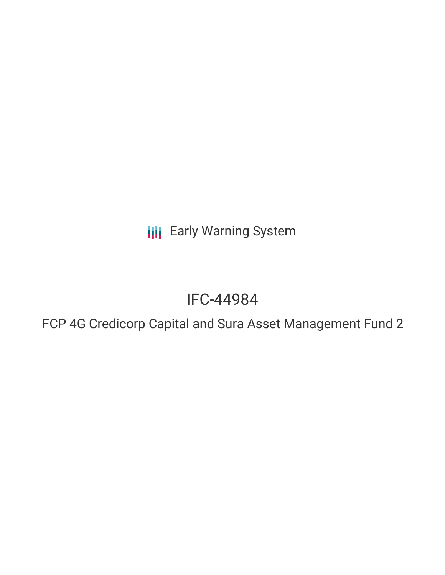**III** Early Warning System

# IFC-44984

FCP 4G Credicorp Capital and Sura Asset Management Fund 2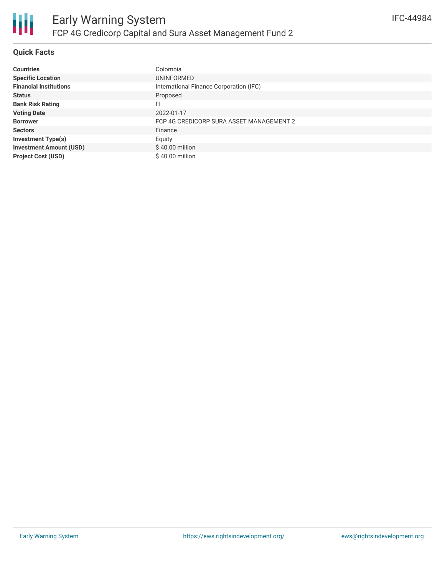

# **Quick Facts**

| <b>Countries</b>               | Colombia                                 |
|--------------------------------|------------------------------------------|
| <b>Specific Location</b>       | UNINFORMED                               |
| <b>Financial Institutions</b>  | International Finance Corporation (IFC)  |
| <b>Status</b>                  | Proposed                                 |
| <b>Bank Risk Rating</b>        | FI                                       |
| <b>Voting Date</b>             | 2022-01-17                               |
| <b>Borrower</b>                | FCP 4G CREDICORP SURA ASSET MANAGEMENT 2 |
| <b>Sectors</b>                 | Finance                                  |
| <b>Investment Type(s)</b>      | Equity                                   |
| <b>Investment Amount (USD)</b> | $$40.00$ million                         |
| <b>Project Cost (USD)</b>      | \$40.00 million                          |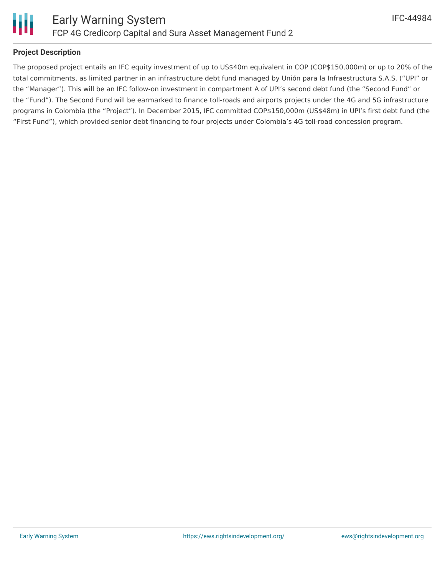

#### **Project Description**

The proposed project entails an IFC equity investment of up to US\$40m equivalent in COP (COP\$150,000m) or up to 20% of the total commitments, as limited partner in an infrastructure debt fund managed by Unión para la Infraestructura S.A.S. ("UPI" or the "Manager"). This will be an IFC follow-on investment in compartment A of UPI's second debt fund (the "Second Fund" or the "Fund"). The Second Fund will be earmarked to finance toll-roads and airports projects under the 4G and 5G infrastructure programs in Colombia (the "Project"). In December 2015, IFC committed COP\$150,000m (US\$48m) in UPI's first debt fund (the "First Fund"), which provided senior debt financing to four projects under Colombia's 4G toll-road concession program.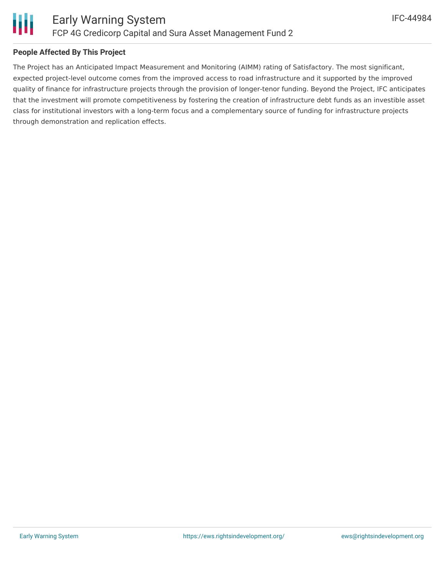

### **People Affected By This Project**

The Project has an Anticipated Impact Measurement and Monitoring (AIMM) rating of Satisfactory. The most significant, expected project-level outcome comes from the improved access to road infrastructure and it supported by the improved quality of finance for infrastructure projects through the provision of longer-tenor funding. Beyond the Project, IFC anticipates that the investment will promote competitiveness by fostering the creation of infrastructure debt funds as an investible asset class for institutional investors with a long-term focus and a complementary source of funding for infrastructure projects through demonstration and replication effects.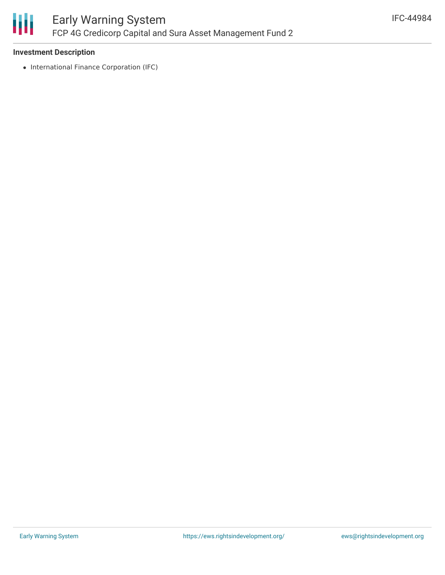

### **Investment Description**

• International Finance Corporation (IFC)